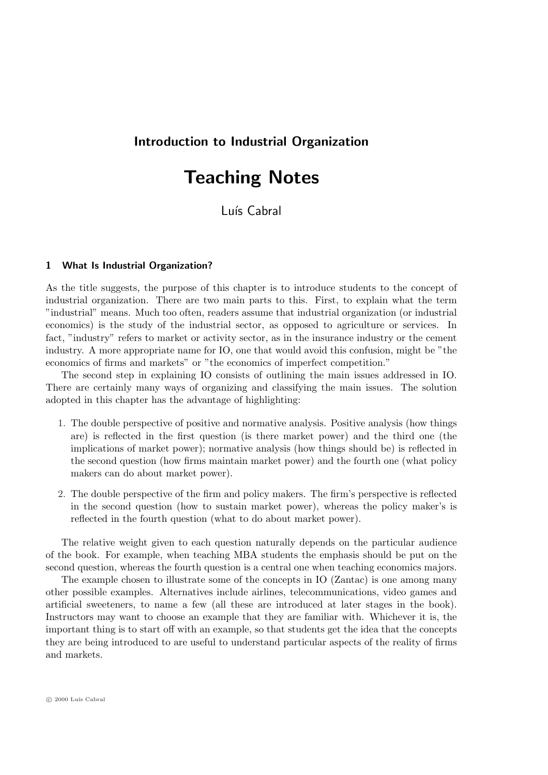# Introduction to Industrial Organization

# Teaching Notes

Luís Cabral

# 1 What Is Industrial Organization?

As the title suggests, the purpose of this chapter is to introduce students to the concept of industrial organization. There are two main parts to this. First, to explain what the term "industrial" means. Much too often, readers assume that industrial organization (or industrial economics) is the study of the industrial sector, as opposed to agriculture or services. In fact, "industry" refers to market or activity sector, as in the insurance industry or the cement industry. A more appropriate name for IO, one that would avoid this confusion, might be "the economics of firms and markets" or "the economics of imperfect competition."

The second step in explaining IO consists of outlining the main issues addressed in IO. There are certainly many ways of organizing and classifying the main issues. The solution adopted in this chapter has the advantage of highlighting:

- 1. The double perspective of positive and normative analysis. Positive analysis (how things are) is reflected in the first question (is there market power) and the third one (the implications of market power); normative analysis (how things should be) is reflected in the second question (how firms maintain market power) and the fourth one (what policy makers can do about market power).
- 2. The double perspective of the firm and policy makers. The firm's perspective is reflected in the second question (how to sustain market power), whereas the policy maker's is reflected in the fourth question (what to do about market power).

The relative weight given to each question naturally depends on the particular audience of the book. For example, when teaching MBA students the emphasis should be put on the second question, whereas the fourth question is a central one when teaching economics majors.

The example chosen to illustrate some of the concepts in IO (Zantac) is one among many other possible examples. Alternatives include airlines, telecommunications, video games and artificial sweeteners, to name a few (all these are introduced at later stages in the book). Instructors may want to choose an example that they are familiar with. Whichever it is, the important thing is to start off with an example, so that students get the idea that the concepts they are being introduced to are useful to understand particular aspects of the reality of firms and markets.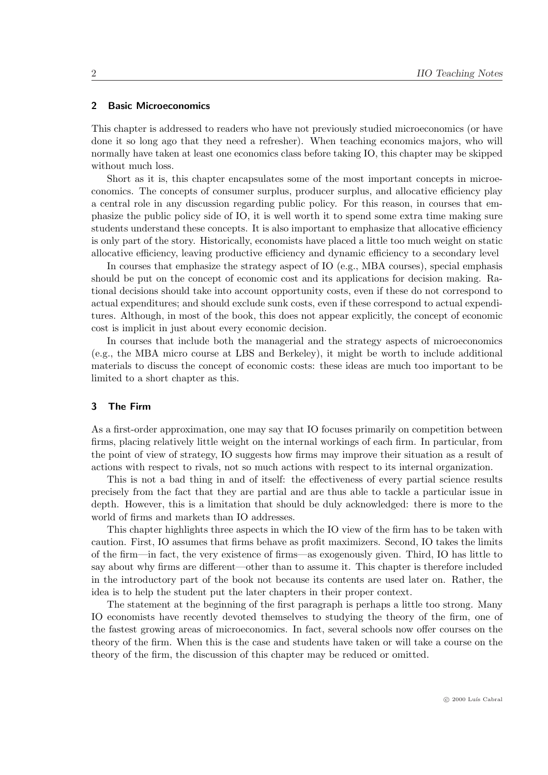# 2 Basic Microeconomics

This chapter is addressed to readers who have not previously studied microeconomics (or have done it so long ago that they need a refresher). When teaching economics majors, who will normally have taken at least one economics class before taking IO, this chapter may be skipped without much loss.

Short as it is, this chapter encapsulates some of the most important concepts in microeconomics. The concepts of consumer surplus, producer surplus, and allocative efficiency play a central role in any discussion regarding public policy. For this reason, in courses that emphasize the public policy side of IO, it is well worth it to spend some extra time making sure students understand these concepts. It is also important to emphasize that allocative efficiency is only part of the story. Historically, economists have placed a little too much weight on static allocative efficiency, leaving productive efficiency and dynamic efficiency to a secondary level

In courses that emphasize the strategy aspect of IO (e.g., MBA courses), special emphasis should be put on the concept of economic cost and its applications for decision making. Rational decisions should take into account opportunity costs, even if these do not correspond to actual expenditures; and should exclude sunk costs, even if these correspond to actual expenditures. Although, in most of the book, this does not appear explicitly, the concept of economic cost is implicit in just about every economic decision.

In courses that include both the managerial and the strategy aspects of microeconomics (e.g., the MBA micro course at LBS and Berkeley), it might be worth to include additional materials to discuss the concept of economic costs: these ideas are much too important to be limited to a short chapter as this.

#### 3 The Firm

As a first-order approximation, one may say that IO focuses primarily on competition between firms, placing relatively little weight on the internal workings of each firm. In particular, from the point of view of strategy, IO suggests how firms may improve their situation as a result of actions with respect to rivals, not so much actions with respect to its internal organization.

This is not a bad thing in and of itself: the effectiveness of every partial science results precisely from the fact that they are partial and are thus able to tackle a particular issue in depth. However, this is a limitation that should be duly acknowledged: there is more to the world of firms and markets than IO addresses.

This chapter highlights three aspects in which the IO view of the firm has to be taken with caution. First, IO assumes that firms behave as profit maximizers. Second, IO takes the limits of the firm—in fact, the very existence of firms—as exogenously given. Third, IO has little to say about why firms are different—other than to assume it. This chapter is therefore included in the introductory part of the book not because its contents are used later on. Rather, the idea is to help the student put the later chapters in their proper context.

The statement at the beginning of the first paragraph is perhaps a little too strong. Many IO economists have recently devoted themselves to studying the theory of the firm, one of the fastest growing areas of microeconomics. In fact, several schools now offer courses on the theory of the firm. When this is the case and students have taken or will take a course on the theory of the firm, the discussion of this chapter may be reduced or omitted.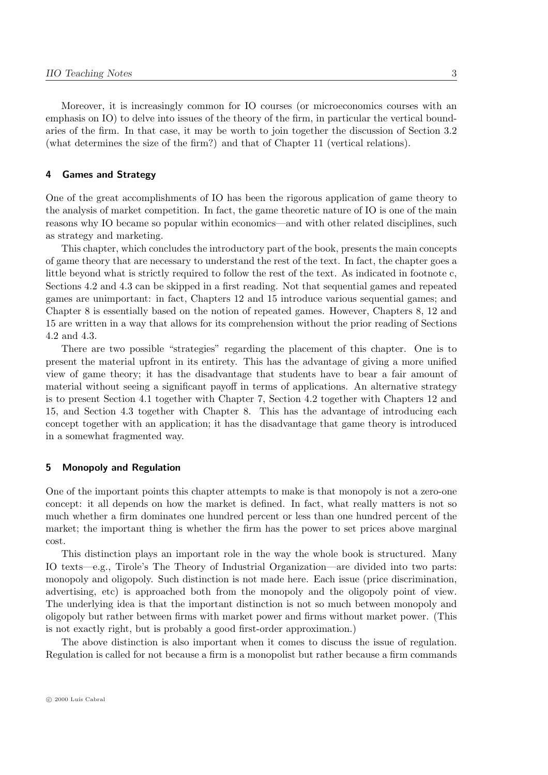Moreover, it is increasingly common for IO courses (or microeconomics courses with an emphasis on IO) to delve into issues of the theory of the firm, in particular the vertical boundaries of the firm. In that case, it may be worth to join together the discussion of Section 3.2 (what determines the size of the firm?) and that of Chapter 11 (vertical relations).

# 4 Games and Strategy

One of the great accomplishments of IO has been the rigorous application of game theory to the analysis of market competition. In fact, the game theoretic nature of IO is one of the main reasons why IO became so popular within economics—and with other related disciplines, such as strategy and marketing.

This chapter, which concludes the introductory part of the book, presents the main concepts of game theory that are necessary to understand the rest of the text. In fact, the chapter goes a little beyond what is strictly required to follow the rest of the text. As indicated in footnote c, Sections 4.2 and 4.3 can be skipped in a first reading. Not that sequential games and repeated games are unimportant: in fact, Chapters 12 and 15 introduce various sequential games; and Chapter 8 is essentially based on the notion of repeated games. However, Chapters 8, 12 and 15 are written in a way that allows for its comprehension without the prior reading of Sections 4.2 and 4.3.

There are two possible "strategies" regarding the placement of this chapter. One is to present the material upfront in its entirety. This has the advantage of giving a more unified view of game theory; it has the disadvantage that students have to bear a fair amount of material without seeing a significant payoff in terms of applications. An alternative strategy is to present Section 4.1 together with Chapter 7, Section 4.2 together with Chapters 12 and 15, and Section 4.3 together with Chapter 8. This has the advantage of introducing each concept together with an application; it has the disadvantage that game theory is introduced in a somewhat fragmented way.

# 5 Monopoly and Regulation

One of the important points this chapter attempts to make is that monopoly is not a zero-one concept: it all depends on how the market is defined. In fact, what really matters is not so much whether a firm dominates one hundred percent or less than one hundred percent of the market; the important thing is whether the firm has the power to set prices above marginal cost.

This distinction plays an important role in the way the whole book is structured. Many IO texts—e.g., Tirole's The Theory of Industrial Organization—are divided into two parts: monopoly and oligopoly. Such distinction is not made here. Each issue (price discrimination, advertising, etc) is approached both from the monopoly and the oligopoly point of view. The underlying idea is that the important distinction is not so much between monopoly and oligopoly but rather between firms with market power and firms without market power. (This is not exactly right, but is probably a good first-order approximation.)

The above distinction is also important when it comes to discuss the issue of regulation. Regulation is called for not because a firm is a monopolist but rather because a firm commands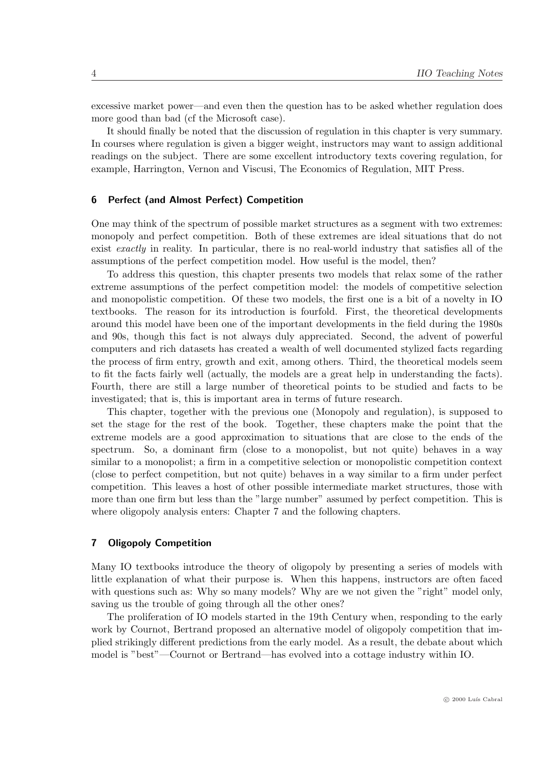excessive market power—and even then the question has to be asked whether regulation does more good than bad (cf the Microsoft case).

It should finally be noted that the discussion of regulation in this chapter is very summary. In courses where regulation is given a bigger weight, instructors may want to assign additional readings on the subject. There are some excellent introductory texts covering regulation, for example, Harrington, Vernon and Viscusi, The Economics of Regulation, MIT Press.

# 6 Perfect (and Almost Perfect) Competition

One may think of the spectrum of possible market structures as a segment with two extremes: monopoly and perfect competition. Both of these extremes are ideal situations that do not exist exactly in reality. In particular, there is no real-world industry that satisfies all of the assumptions of the perfect competition model. How useful is the model, then?

To address this question, this chapter presents two models that relax some of the rather extreme assumptions of the perfect competition model: the models of competitive selection and monopolistic competition. Of these two models, the first one is a bit of a novelty in IO textbooks. The reason for its introduction is fourfold. First, the theoretical developments around this model have been one of the important developments in the field during the 1980s and 90s, though this fact is not always duly appreciated. Second, the advent of powerful computers and rich datasets has created a wealth of well documented stylized facts regarding the process of firm entry, growth and exit, among others. Third, the theoretical models seem to fit the facts fairly well (actually, the models are a great help in understanding the facts). Fourth, there are still a large number of theoretical points to be studied and facts to be investigated; that is, this is important area in terms of future research.

This chapter, together with the previous one (Monopoly and regulation), is supposed to set the stage for the rest of the book. Together, these chapters make the point that the extreme models are a good approximation to situations that are close to the ends of the spectrum. So, a dominant firm (close to a monopolist, but not quite) behaves in a way similar to a monopolist; a firm in a competitive selection or monopolistic competition context (close to perfect competition, but not quite) behaves in a way similar to a firm under perfect competition. This leaves a host of other possible intermediate market structures, those with more than one firm but less than the "large number" assumed by perfect competition. This is where oligopoly analysis enters: Chapter 7 and the following chapters.

# 7 Oligopoly Competition

Many IO textbooks introduce the theory of oligopoly by presenting a series of models with little explanation of what their purpose is. When this happens, instructors are often faced with questions such as: Why so many models? Why are we not given the "right" model only, saving us the trouble of going through all the other ones?

The proliferation of IO models started in the 19th Century when, responding to the early work by Cournot, Bertrand proposed an alternative model of oligopoly competition that implied strikingly different predictions from the early model. As a result, the debate about which model is "best"—Cournot or Bertrand—has evolved into a cottage industry within IO.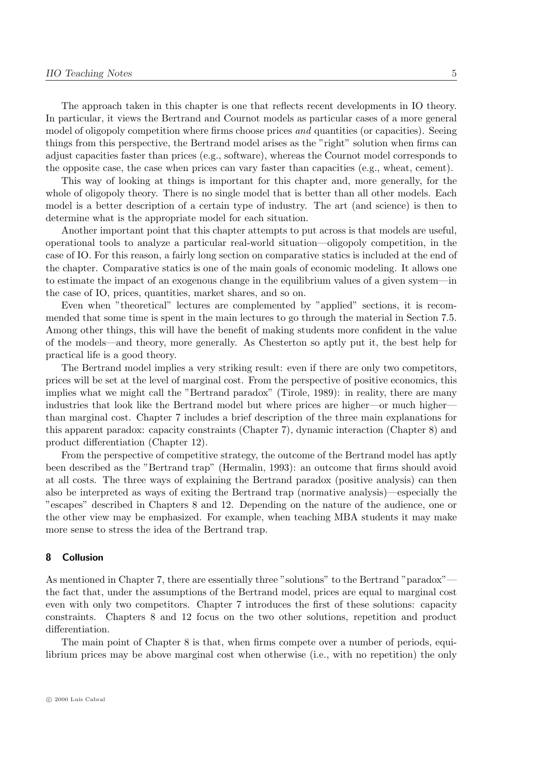The approach taken in this chapter is one that reflects recent developments in IO theory. In particular, it views the Bertrand and Cournot models as particular cases of a more general model of oligopoly competition where firms choose prices *and* quantities (or capacities). Seeing things from this perspective, the Bertrand model arises as the "right" solution when firms can adjust capacities faster than prices (e.g., software), whereas the Cournot model corresponds to the opposite case, the case when prices can vary faster than capacities (e.g., wheat, cement).

This way of looking at things is important for this chapter and, more generally, for the whole of oligopoly theory. There is no single model that is better than all other models. Each model is a better description of a certain type of industry. The art (and science) is then to determine what is the appropriate model for each situation.

Another important point that this chapter attempts to put across is that models are useful, operational tools to analyze a particular real-world situation—oligopoly competition, in the case of IO. For this reason, a fairly long section on comparative statics is included at the end of the chapter. Comparative statics is one of the main goals of economic modeling. It allows one to estimate the impact of an exogenous change in the equilibrium values of a given system—in the case of IO, prices, quantities, market shares, and so on.

Even when "theoretical" lectures are complemented by "applied" sections, it is recommended that some time is spent in the main lectures to go through the material in Section 7.5. Among other things, this will have the benefit of making students more confident in the value of the models—and theory, more generally. As Chesterton so aptly put it, the best help for practical life is a good theory.

The Bertrand model implies a very striking result: even if there are only two competitors, prices will be set at the level of marginal cost. From the perspective of positive economics, this implies what we might call the "Bertrand paradox" (Tirole, 1989): in reality, there are many industries that look like the Bertrand model but where prices are higher—or much higher than marginal cost. Chapter 7 includes a brief description of the three main explanations for this apparent paradox: capacity constraints (Chapter 7), dynamic interaction (Chapter 8) and product differentiation (Chapter 12).

From the perspective of competitive strategy, the outcome of the Bertrand model has aptly been described as the "Bertrand trap" (Hermalin, 1993): an outcome that firms should avoid at all costs. The three ways of explaining the Bertrand paradox (positive analysis) can then also be interpreted as ways of exiting the Bertrand trap (normative analysis)—especially the "escapes" described in Chapters 8 and 12. Depending on the nature of the audience, one or the other view may be emphasized. For example, when teaching MBA students it may make more sense to stress the idea of the Bertrand trap.

#### 8 Collusion

As mentioned in Chapter 7, there are essentially three "solutions" to the Bertrand "paradox" the fact that, under the assumptions of the Bertrand model, prices are equal to marginal cost even with only two competitors. Chapter 7 introduces the first of these solutions: capacity constraints. Chapters 8 and 12 focus on the two other solutions, repetition and product differentiation.

The main point of Chapter 8 is that, when firms compete over a number of periods, equilibrium prices may be above marginal cost when otherwise (i.e., with no repetition) the only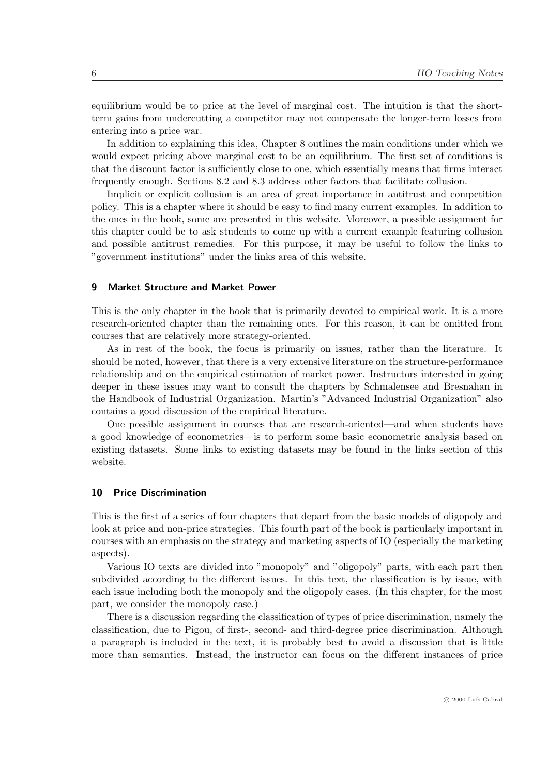equilibrium would be to price at the level of marginal cost. The intuition is that the shortterm gains from undercutting a competitor may not compensate the longer-term losses from entering into a price war.

In addition to explaining this idea, Chapter 8 outlines the main conditions under which we would expect pricing above marginal cost to be an equilibrium. The first set of conditions is that the discount factor is sufficiently close to one, which essentially means that firms interact frequently enough. Sections 8.2 and 8.3 address other factors that facilitate collusion.

Implicit or explicit collusion is an area of great importance in antitrust and competition policy. This is a chapter where it should be easy to find many current examples. In addition to the ones in the book, some are presented in this website. Moreover, a possible assignment for this chapter could be to ask students to come up with a current example featuring collusion and possible antitrust remedies. For this purpose, it may be useful to follow the links to "government institutions" under the links area of this website.

#### 9 Market Structure and Market Power

This is the only chapter in the book that is primarily devoted to empirical work. It is a more research-oriented chapter than the remaining ones. For this reason, it can be omitted from courses that are relatively more strategy-oriented.

As in rest of the book, the focus is primarily on issues, rather than the literature. It should be noted, however, that there is a very extensive literature on the structure-performance relationship and on the empirical estimation of market power. Instructors interested in going deeper in these issues may want to consult the chapters by Schmalensee and Bresnahan in the Handbook of Industrial Organization. Martin's "Advanced Industrial Organization" also contains a good discussion of the empirical literature.

One possible assignment in courses that are research-oriented—and when students have a good knowledge of econometrics—is to perform some basic econometric analysis based on existing datasets. Some links to existing datasets may be found in the links section of this website.

#### 10 Price Discrimination

This is the first of a series of four chapters that depart from the basic models of oligopoly and look at price and non-price strategies. This fourth part of the book is particularly important in courses with an emphasis on the strategy and marketing aspects of IO (especially the marketing aspects).

Various IO texts are divided into "monopoly" and "oligopoly" parts, with each part then subdivided according to the different issues. In this text, the classification is by issue, with each issue including both the monopoly and the oligopoly cases. (In this chapter, for the most part, we consider the monopoly case.)

There is a discussion regarding the classification of types of price discrimination, namely the classification, due to Pigou, of first-, second- and third-degree price discrimination. Although a paragraph is included in the text, it is probably best to avoid a discussion that is little more than semantics. Instead, the instructor can focus on the different instances of price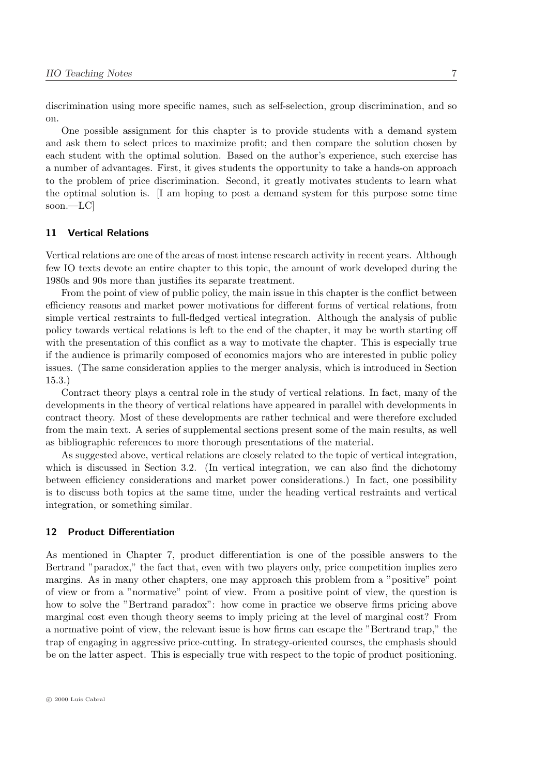discrimination using more specific names, such as self-selection, group discrimination, and so on.

One possible assignment for this chapter is to provide students with a demand system and ask them to select prices to maximize profit; and then compare the solution chosen by each student with the optimal solution. Based on the author's experience, such exercise has a number of advantages. First, it gives students the opportunity to take a hands-on approach to the problem of price discrimination. Second, it greatly motivates students to learn what the optimal solution is. [I am hoping to post a demand system for this purpose some time soon.—LC]

# 11 Vertical Relations

Vertical relations are one of the areas of most intense research activity in recent years. Although few IO texts devote an entire chapter to this topic, the amount of work developed during the 1980s and 90s more than justifies its separate treatment.

From the point of view of public policy, the main issue in this chapter is the conflict between efficiency reasons and market power motivations for different forms of vertical relations, from simple vertical restraints to full-fledged vertical integration. Although the analysis of public policy towards vertical relations is left to the end of the chapter, it may be worth starting off with the presentation of this conflict as a way to motivate the chapter. This is especially true if the audience is primarily composed of economics majors who are interested in public policy issues. (The same consideration applies to the merger analysis, which is introduced in Section 15.3.)

Contract theory plays a central role in the study of vertical relations. In fact, many of the developments in the theory of vertical relations have appeared in parallel with developments in contract theory. Most of these developments are rather technical and were therefore excluded from the main text. A series of supplemental sections present some of the main results, as well as bibliographic references to more thorough presentations of the material.

As suggested above, vertical relations are closely related to the topic of vertical integration, which is discussed in Section 3.2. (In vertical integration, we can also find the dichotomy between efficiency considerations and market power considerations.) In fact, one possibility is to discuss both topics at the same time, under the heading vertical restraints and vertical integration, or something similar.

#### 12 Product Differentiation

As mentioned in Chapter 7, product differentiation is one of the possible answers to the Bertrand "paradox," the fact that, even with two players only, price competition implies zero margins. As in many other chapters, one may approach this problem from a "positive" point of view or from a "normative" point of view. From a positive point of view, the question is how to solve the "Bertrand paradox": how come in practice we observe firms pricing above marginal cost even though theory seems to imply pricing at the level of marginal cost? From a normative point of view, the relevant issue is how firms can escape the "Bertrand trap," the trap of engaging in aggressive price-cutting. In strategy-oriented courses, the emphasis should be on the latter aspect. This is especially true with respect to the topic of product positioning.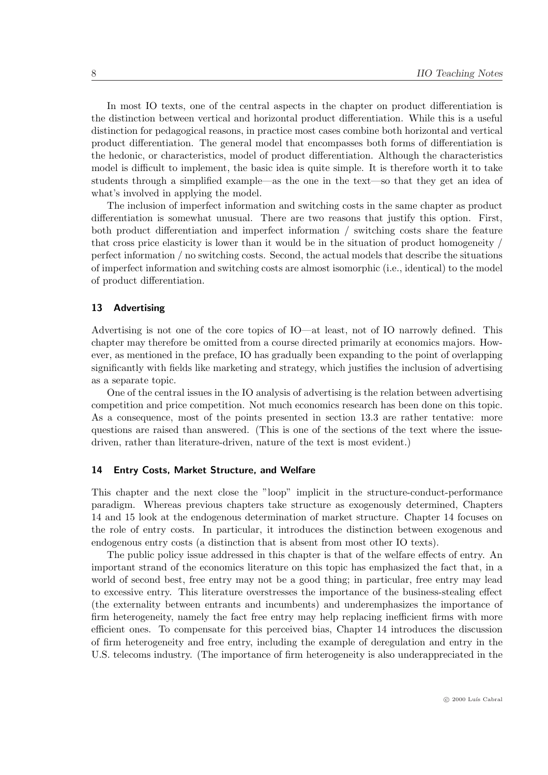In most IO texts, one of the central aspects in the chapter on product differentiation is the distinction between vertical and horizontal product differentiation. While this is a useful distinction for pedagogical reasons, in practice most cases combine both horizontal and vertical product differentiation. The general model that encompasses both forms of differentiation is the hedonic, or characteristics, model of product differentiation. Although the characteristics model is difficult to implement, the basic idea is quite simple. It is therefore worth it to take students through a simplified example—as the one in the text—so that they get an idea of what's involved in applying the model.

The inclusion of imperfect information and switching costs in the same chapter as product differentiation is somewhat unusual. There are two reasons that justify this option. First, both product differentiation and imperfect information / switching costs share the feature that cross price elasticity is lower than it would be in the situation of product homogeneity / perfect information / no switching costs. Second, the actual models that describe the situations of imperfect information and switching costs are almost isomorphic (i.e., identical) to the model of product differentiation.

# 13 Advertising

Advertising is not one of the core topics of IO—at least, not of IO narrowly defined. This chapter may therefore be omitted from a course directed primarily at economics majors. However, as mentioned in the preface, IO has gradually been expanding to the point of overlapping significantly with fields like marketing and strategy, which justifies the inclusion of advertising as a separate topic.

One of the central issues in the IO analysis of advertising is the relation between advertising competition and price competition. Not much economics research has been done on this topic. As a consequence, most of the points presented in section 13.3 are rather tentative: more questions are raised than answered. (This is one of the sections of the text where the issuedriven, rather than literature-driven, nature of the text is most evident.)

# 14 Entry Costs, Market Structure, and Welfare

This chapter and the next close the "loop" implicit in the structure-conduct-performance paradigm. Whereas previous chapters take structure as exogenously determined, Chapters 14 and 15 look at the endogenous determination of market structure. Chapter 14 focuses on the role of entry costs. In particular, it introduces the distinction between exogenous and endogenous entry costs (a distinction that is absent from most other IO texts).

The public policy issue addressed in this chapter is that of the welfare effects of entry. An important strand of the economics literature on this topic has emphasized the fact that, in a world of second best, free entry may not be a good thing; in particular, free entry may lead to excessive entry. This literature overstresses the importance of the business-stealing effect (the externality between entrants and incumbents) and underemphasizes the importance of firm heterogeneity, namely the fact free entry may help replacing inefficient firms with more efficient ones. To compensate for this perceived bias, Chapter 14 introduces the discussion of firm heterogeneity and free entry, including the example of deregulation and entry in the U.S. telecoms industry. (The importance of firm heterogeneity is also underappreciated in the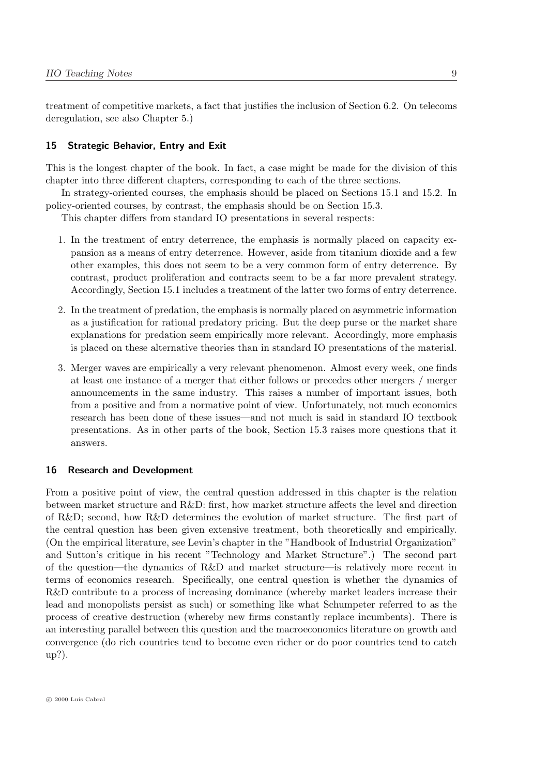treatment of competitive markets, a fact that justifies the inclusion of Section 6.2. On telecoms deregulation, see also Chapter 5.)

# 15 Strategic Behavior, Entry and Exit

This is the longest chapter of the book. In fact, a case might be made for the division of this chapter into three different chapters, corresponding to each of the three sections.

In strategy-oriented courses, the emphasis should be placed on Sections 15.1 and 15.2. In policy-oriented courses, by contrast, the emphasis should be on Section 15.3.

This chapter differs from standard IO presentations in several respects:

- 1. In the treatment of entry deterrence, the emphasis is normally placed on capacity expansion as a means of entry deterrence. However, aside from titanium dioxide and a few other examples, this does not seem to be a very common form of entry deterrence. By contrast, product proliferation and contracts seem to be a far more prevalent strategy. Accordingly, Section 15.1 includes a treatment of the latter two forms of entry deterrence.
- 2. In the treatment of predation, the emphasis is normally placed on asymmetric information as a justification for rational predatory pricing. But the deep purse or the market share explanations for predation seem empirically more relevant. Accordingly, more emphasis is placed on these alternative theories than in standard IO presentations of the material.
- 3. Merger waves are empirically a very relevant phenomenon. Almost every week, one finds at least one instance of a merger that either follows or precedes other mergers / merger announcements in the same industry. This raises a number of important issues, both from a positive and from a normative point of view. Unfortunately, not much economics research has been done of these issues—and not much is said in standard IO textbook presentations. As in other parts of the book, Section 15.3 raises more questions that it answers.

#### 16 Research and Development

From a positive point of view, the central question addressed in this chapter is the relation between market structure and R&D: first, how market structure affects the level and direction of R&D; second, how R&D determines the evolution of market structure. The first part of the central question has been given extensive treatment, both theoretically and empirically. (On the empirical literature, see Levin's chapter in the "Handbook of Industrial Organization" and Sutton's critique in his recent "Technology and Market Structure".) The second part of the question—the dynamics of R&D and market structure—is relatively more recent in terms of economics research. Specifically, one central question is whether the dynamics of R&D contribute to a process of increasing dominance (whereby market leaders increase their lead and monopolists persist as such) or something like what Schumpeter referred to as the process of creative destruction (whereby new firms constantly replace incumbents). There is an interesting parallel between this question and the macroeconomics literature on growth and convergence (do rich countries tend to become even richer or do poor countries tend to catch up?).